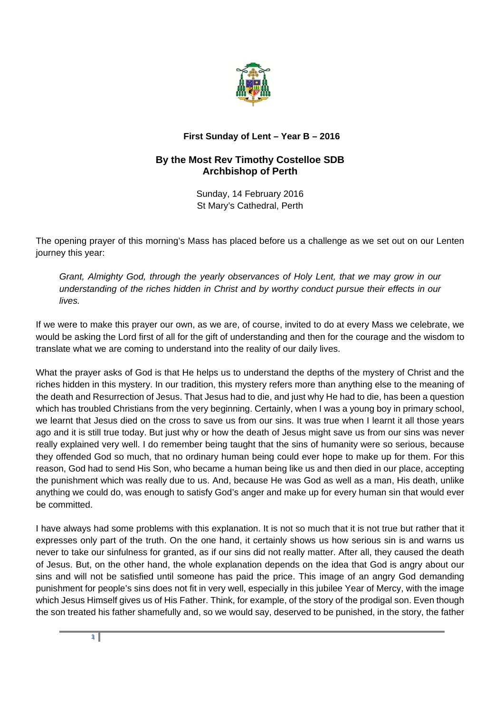

## **First Sunday of Lent – Year B – 2016**

## **By the Most Rev Timothy Costelloe SDB Archbishop of Perth**

Sunday, 14 February 2016 St Mary's Cathedral, Perth

The opening prayer of this morning's Mass has placed before us a challenge as we set out on our Lenten journey this year:

*Grant, Almighty God, through the yearly observances of Holy Lent, that we may grow in our understanding of the riches hidden in Christ and by worthy conduct pursue their effects in our lives.* 

If we were to make this prayer our own, as we are, of course, invited to do at every Mass we celebrate, we would be asking the Lord first of all for the gift of understanding and then for the courage and the wisdom to translate what we are coming to understand into the reality of our daily lives.

What the prayer asks of God is that He helps us to understand the depths of the mystery of Christ and the riches hidden in this mystery. In our tradition, this mystery refers more than anything else to the meaning of the death and Resurrection of Jesus. That Jesus had to die, and just why He had to die, has been a question which has troubled Christians from the very beginning. Certainly, when I was a young boy in primary school, we learnt that Jesus died on the cross to save us from our sins. It was true when I learnt it all those years ago and it is still true today. But just why or how the death of Jesus might save us from our sins was never really explained very well. I do remember being taught that the sins of humanity were so serious, because they offended God so much, that no ordinary human being could ever hope to make up for them. For this reason, God had to send His Son, who became a human being like us and then died in our place, accepting the punishment which was really due to us. And, because He was God as well as a man, His death, unlike anything we could do, was enough to satisfy God's anger and make up for every human sin that would ever be committed.

I have always had some problems with this explanation. It is not so much that it is not true but rather that it expresses only part of the truth. On the one hand, it certainly shows us how serious sin is and warns us never to take our sinfulness for granted, as if our sins did not really matter. After all, they caused the death of Jesus. But, on the other hand, the whole explanation depends on the idea that God is angry about our sins and will not be satisfied until someone has paid the price. This image of an angry God demanding punishment for people's sins does not fit in very well, especially in this jubilee Year of Mercy, with the image which Jesus Himself gives us of His Father. Think, for example, of the story of the prodigal son. Even though the son treated his father shamefully and, so we would say, deserved to be punished, in the story, the father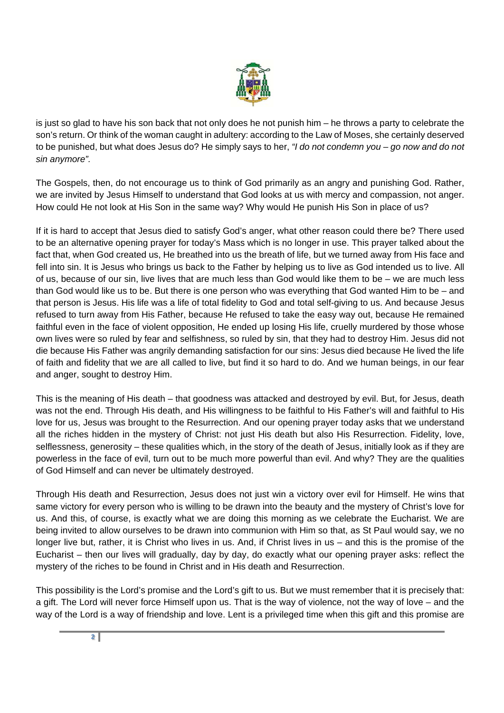

is just so glad to have his son back that not only does he not punish him – he throws a party to celebrate the son's return. Or think of the woman caught in adultery: according to the Law of Moses, she certainly deserved to be punished, but what does Jesus do? He simply says to her, *"I do not condemn you – go now and do not sin anymore".* 

The Gospels, then, do not encourage us to think of God primarily as an angry and punishing God. Rather, we are invited by Jesus Himself to understand that God looks at us with mercy and compassion, not anger. How could He not look at His Son in the same way? Why would He punish His Son in place of us?

If it is hard to accept that Jesus died to satisfy God's anger, what other reason could there be? There used to be an alternative opening prayer for today's Mass which is no longer in use. This prayer talked about the fact that, when God created us, He breathed into us the breath of life, but we turned away from His face and fell into sin. It is Jesus who brings us back to the Father by helping us to live as God intended us to live. All of us, because of our sin, live lives that are much less than God would like them to be – we are much less than God would like us to be. But there is one person who was everything that God wanted Him to be – and that person is Jesus. His life was a life of total fidelity to God and total self-giving to us. And because Jesus refused to turn away from His Father, because He refused to take the easy way out, because He remained faithful even in the face of violent opposition, He ended up losing His life, cruelly murdered by those whose own lives were so ruled by fear and selfishness, so ruled by sin, that they had to destroy Him. Jesus did not die because His Father was angrily demanding satisfaction for our sins: Jesus died because He lived the life of faith and fidelity that we are all called to live, but find it so hard to do. And we human beings, in our fear and anger, sought to destroy Him.

This is the meaning of His death – that goodness was attacked and destroyed by evil. But, for Jesus, death was not the end. Through His death, and His willingness to be faithful to His Father's will and faithful to His love for us, Jesus was brought to the Resurrection. And our opening prayer today asks that we understand all the riches hidden in the mystery of Christ: not just His death but also His Resurrection. Fidelity, love, selflessness, generosity – these qualities which, in the story of the death of Jesus, initially look as if they are powerless in the face of evil, turn out to be much more powerful than evil. And why? They are the qualities of God Himself and can never be ultimately destroyed.

Through His death and Resurrection, Jesus does not just win a victory over evil for Himself. He wins that same victory for every person who is willing to be drawn into the beauty and the mystery of Christ's love for us. And this, of course, is exactly what we are doing this morning as we celebrate the Eucharist. We are being invited to allow ourselves to be drawn into communion with Him so that, as St Paul would say, we no longer live but, rather, it is Christ who lives in us. And, if Christ lives in us – and this is the promise of the Eucharist – then our lives will gradually, day by day, do exactly what our opening prayer asks: reflect the mystery of the riches to be found in Christ and in His death and Resurrection.

This possibility is the Lord's promise and the Lord's gift to us. But we must remember that it is precisely that: a gift. The Lord will never force Himself upon us. That is the way of violence, not the way of love – and the way of the Lord is a way of friendship and love. Lent is a privileged time when this gift and this promise are